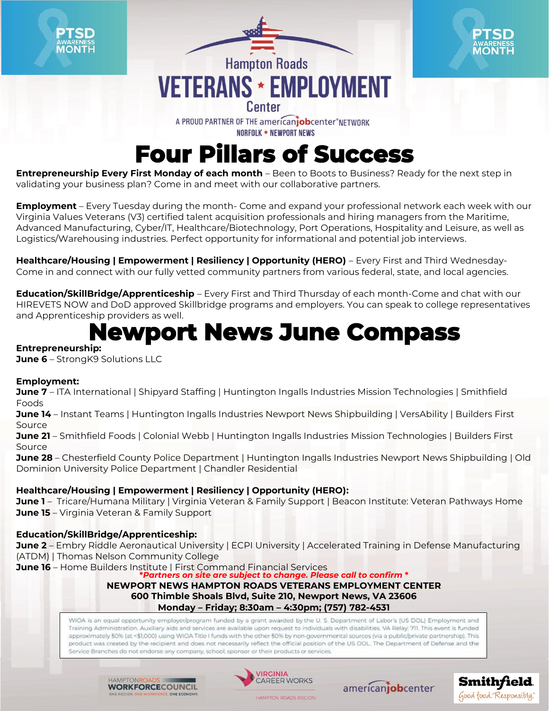

## **Four Pillars of Success**

**Entrepreneurship Every First Monday of each month** – Been to Boots to Business? Ready for the next step in validating your business plan? Come in and meet with our collaborative partners.

**Employment** – Every Tuesday during the month- Come and expand your professional network each week with our Virginia Values Veterans (V3) certified talent acquisition professionals and hiring managers from the Maritime, Advanced Manufacturing, Cyber/IT, Healthcare/Biotechnology, Port Operations, Hospitality and Leisure, as well as Logistics/Warehousing industries. Perfect opportunity for informational and potential job interviews.

Healthcare/Housing | Empowerment | Resiliency | Opportunity (HERO) – Every First and Third Wednesday-Come in and connect with our fully vetted community partners from various federal, state, and local agencies.

**Education/SkillBridge/Apprenticeship** – Every First and Third Thursday of each month-Come and chat with our HIREVETS NOW and DoD approved Skillbridge programs and employers. You can speak to college representatives and Apprenticeship providers as well.

## **Newport News June Compass**

#### **Entrepreneurship:**

**June 6** – StrongK9 Solutions LLC

#### **Employment:**

**June 7** – ITA International | Shipyard Staffing | Huntington Ingalls Industries Mission Technologies | Smithfield Foods

**June 14** – Instant Teams | Huntington Ingalls Industries Newport News Shipbuilding | VersAbility | Builders First Source

**June 21** – Smithfield Foods | Colonial Webb | Huntington Ingalls Industries Mission Technologies | Builders First Source

**June 28** – Chesterfield County Police Department | Huntington Ingalls Industries Newport News Shipbuilding | Old Dominion University Police Department | Chandler Residential

#### **Healthcare/Housing | Empowerment | Resiliency | Opportunity (HERO):**

**June 1** – Tricare/Humana Military | Virginia Veteran & Family Support | Beacon Institute: Veteran Pathways Home **June 15** – Virginia Veteran & Family Support

#### **Education/SkillBridge/Apprenticeship:**

**June 2** – Embry Riddle Aeronautical University | ECPI University | Accelerated Training in Defense Manufacturing (ATDM) | Thomas Nelson Community College

**June 16** – Home Builders Institute | First Command Financial Services

**\****Partners on site are subject to change. Please call to confirm* **\* NEWPORT NEWS HAMPTON ROADS VETERANS EMPLOYMENT CENTER**

**600 Thimble Shoals Blvd, Suite 210, Newport News, VA 23606**

**Monday – Friday; 8:30am – 4:30pm; (757) 782-4531**

WIOA is an equal opportunity employer/program funded by a grant awarded by the U.S. Department of Labor's (US DOL) Employment and Training Administration. Auxiliary aids and services are available upon request to individuals with disabilities. VA Relay: 711. This event is funded approximately 50% (at <\$1,000) using WIOA Title I funds with the other 50% by non-governmental sources (via a public/private partnership). This product was created by the recipient and does not necessarily reflect the official position of the US DOL. The Department of Defense and the Service Branches do not endorse any company, school, sponsor or their products or services.

HAMPTONE **WORKFORCECOUNCIL** 



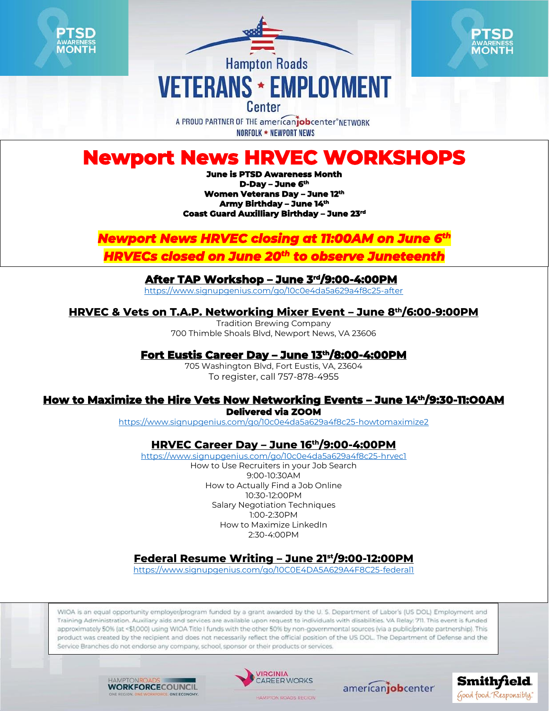





# **Hampton Roads VETERANS \* EMPLOYMENT**

A PROUD PARTNER OF THE americaniobcenter NFTWORK **NORFOLK ★ NEWPORT NEWS** 

## **Newport News HRVEC WORKSHOPS**

**June is PTSD Awareness Month D-Day – June 6th Women Veterans Day – June 12th Army Birthday – June 14th Coast Guard Auxilliary Birthday – June 23rd** 

## *Newport News HRVEC closing at 11:00AM on June 6th*

*HRVECs closed on June 20th to observe Juneteenth* 

#### **After TAP Workshop – June 3rd/9:00-4:00PM**

<https://www.signupgenius.com/go/10c0e4da5a629a4f8c25-after>

#### **HRVEC & Vets on T.A.P. Networking Mixer Event – June 8th/6:00-9:00PM**

Tradition Brewing Company 700 Thimble Shoals Blvd, Newport News, VA 23606

#### **Fort Eustis Career Day – June 13th/8:00-4:00PM**

705 Washington Blvd, Fort Eustis, VA, 23604 To register, call 757-878-4955

### **How to Maximize the Hire Vets Now Networking Events – June 14th/9:30-11:O0AM**

**Delivered via ZOOM** 

<https://www.signupgenius.com/go/10c0e4da5a629a4f8c25-howtomaximize2>

#### **HRVEC Career Day – June 16th/9:00-4:00PM**

<https://www.signupgenius.com/go/10c0e4da5a629a4f8c25-hrvec1> How to Use Recruiters in your Job Search 9:00-10:30AM How to Actually Find a Job Online 10:30-12:00PM Salary Negotiation Techniques 1:00-2:30PM How to Maximize LinkedIn 2:30-4:00PM

#### **Federal Resume Writing – June 21st/9:00-12:00PM**

<https://www.signupgenius.com/go/10C0E4DA5A629A4F8C25-federal1>

WIOA is an equal opportunity employer/program funded by a grant awarded by the U.S. Department of Labor's (US DOL) Employment and Training Administration. Auxiliary aids and services are available upon request to individuals with disabilities. VA Relay: 711. This event is funded approximately 50% (at <\$1,000) using WIOA Title I funds with the other 50% by non-governmental sources (via a public/private partnership). This product was created by the recipient and does not necessarily reflect the official position of the US DOL. The Department of Defense and the Service Branches do not endorse any company, school, sponsor or their products or services.

> HAMPTONIR **WORKFORCECOUNCIL**





americanjobcenter